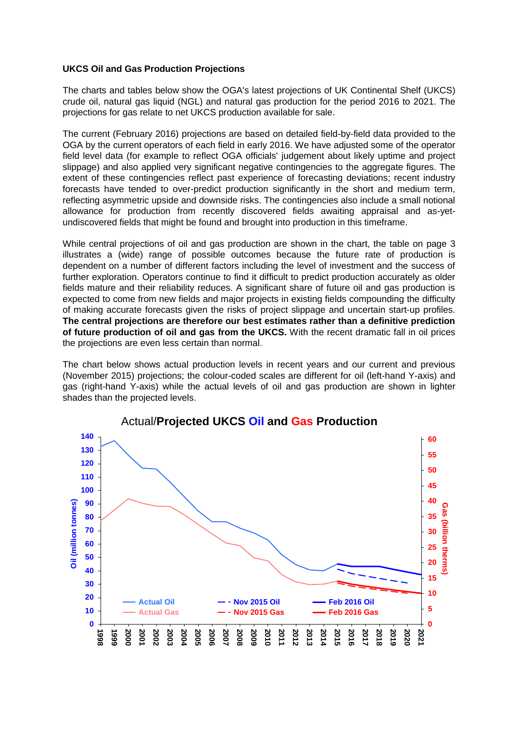#### **UKCS Oil and Gas Production Projections**

The charts and tables below show the OGA's latest projections of UK Continental Shelf (UKCS) crude oil, natural gas liquid (NGL) and natural gas production for the period 2016 to 2021. The projections for gas relate to net UKCS production available for sale.

The current (February 2016) projections are based on detailed field-by-field data provided to the OGA by the current operators of each field in early 2016. We have adjusted some of the operator field level data (for example to reflect OGA officials' judgement about likely uptime and project slippage) and also applied very significant negative contingencies to the aggregate figures. The extent of these contingencies reflect past experience of forecasting deviations; recent industry forecasts have tended to over-predict production significantly in the short and medium term, reflecting asymmetric upside and downside risks. The contingencies also include a small notional allowance for production from recently discovered fields awaiting appraisal and as-yetundiscovered fields that might be found and brought into production in this timeframe.

While central projections of oil and gas production are shown in the chart, the table on page 3 illustrates a (wide) range of possible outcomes because the future rate of production is dependent on a number of different factors including the level of investment and the success of further exploration. Operators continue to find it difficult to predict production accurately as older fields mature and their reliability reduces. A significant share of future oil and gas production is expected to come from new fields and major projects in existing fields compounding the difficulty of making accurate forecasts given the risks of project slippage and uncertain start-up profiles. **The central projections are therefore our best estimates rather than a definitive prediction of future production of oil and gas from the UKCS.** With the recent dramatic fall in oil prices the projections are even less certain than normal.

The chart below shows actual production levels in recent years and our current and previous (November 2015) projections; the colour-coded scales are different for oil (left-hand Y-axis) and gas (right-hand Y-axis) while the actual levels of oil and gas production are shown in lighter shades than the projected levels.



# Actual/**Projected UKCS Oil and Gas Production**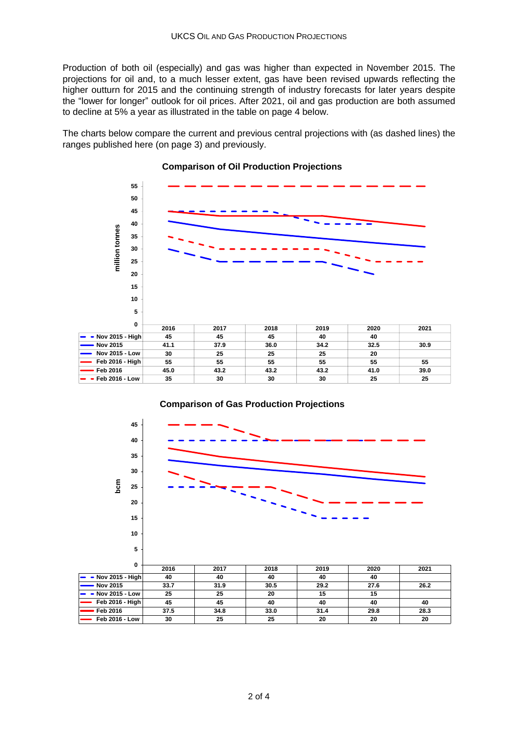Production of both oil (especially) and gas was higher than expected in November 2015. The projections for oil and, to a much lesser extent, gas have been revised upwards reflecting the higher outturn for 2015 and the continuing strength of industry forecasts for later years despite the "lower for longer" outlook for oil prices. After 2021, oil and gas production are both assumed to decline at 5% a year as illustrated in the table on page 4 below.

The charts below compare the current and previous central projections with (as dashed lines) the ranges published here (on page [3\)](#page-2-0) and previously.



#### **Comparison of Oil Production Projections**



## **Comparison of Gas Production Projections**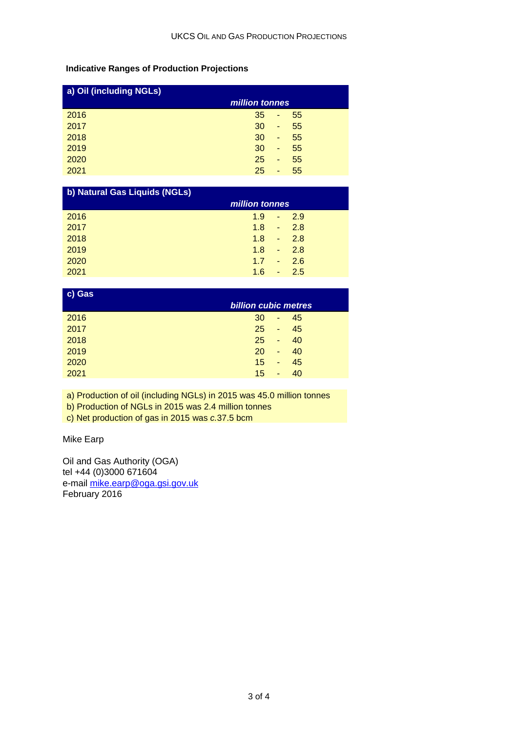## <span id="page-2-0"></span>**Indicative Ranges of Production Projections**

| a) Oil (including NGLs) |                |   |    |  |  |  |
|-------------------------|----------------|---|----|--|--|--|
|                         | million tonnes |   |    |  |  |  |
| 2016                    | 35             | ٠ | 55 |  |  |  |
| 2017                    | 30             | ٠ | 55 |  |  |  |
| 2018                    | 30             | ٠ | 55 |  |  |  |
| 2019                    | 30             | ٠ | 55 |  |  |  |
| 2020                    | 25             | ٠ | 55 |  |  |  |
| 2021                    | 25             | ٠ | 55 |  |  |  |

| b) Natural Gas Liquids (NGLs) |                                   |  |  |  |  |  |  |
|-------------------------------|-----------------------------------|--|--|--|--|--|--|
|                               | million tonnes                    |  |  |  |  |  |  |
| 2016                          | 1.9<br>$-2.9$                     |  |  |  |  |  |  |
| 2017                          | 1.8<br>2.8<br>$\omega_{\rm{max}}$ |  |  |  |  |  |  |
| 2018                          | 1.8<br>$-2.8$                     |  |  |  |  |  |  |
| 2019                          | 1.8<br>2.8<br>$\omega_{\rm{max}}$ |  |  |  |  |  |  |
| 2020                          | 1.7<br>2.6<br>u,                  |  |  |  |  |  |  |
| 2021                          | 1.6<br>2.5<br>$\blacksquare$      |  |  |  |  |  |  |

| c) Gas |                             |  |  |  |  |  |  |  |
|--------|-----------------------------|--|--|--|--|--|--|--|
|        | <b>billion cubic metres</b> |  |  |  |  |  |  |  |
| 2016   | 30<br>45<br>٠               |  |  |  |  |  |  |  |
| 2017   | 25<br>45<br>٠               |  |  |  |  |  |  |  |
| 2018   | 25<br>40<br>٠               |  |  |  |  |  |  |  |
| 2019   | 20<br>40<br>٠               |  |  |  |  |  |  |  |
| 2020   | 45<br>15<br>٠               |  |  |  |  |  |  |  |
| 2021   | 40<br>15<br>٠               |  |  |  |  |  |  |  |
|        |                             |  |  |  |  |  |  |  |

a) Production of oil (including NGLs) in 2015 was 45.0 million tonnes

b) Production of NGLs in 2015 was 2.4 million tonnes

c) Net production of gas in 2015 was *c.*37.5 bcm

Mike Earp

Oil and Gas Authority (OGA) tel +44 (0)3000 671604 e-mail [mike.earp@oga.gsi.gov.uk](mailto:mike.earp@oga.gsi.gov.uk) February 2016